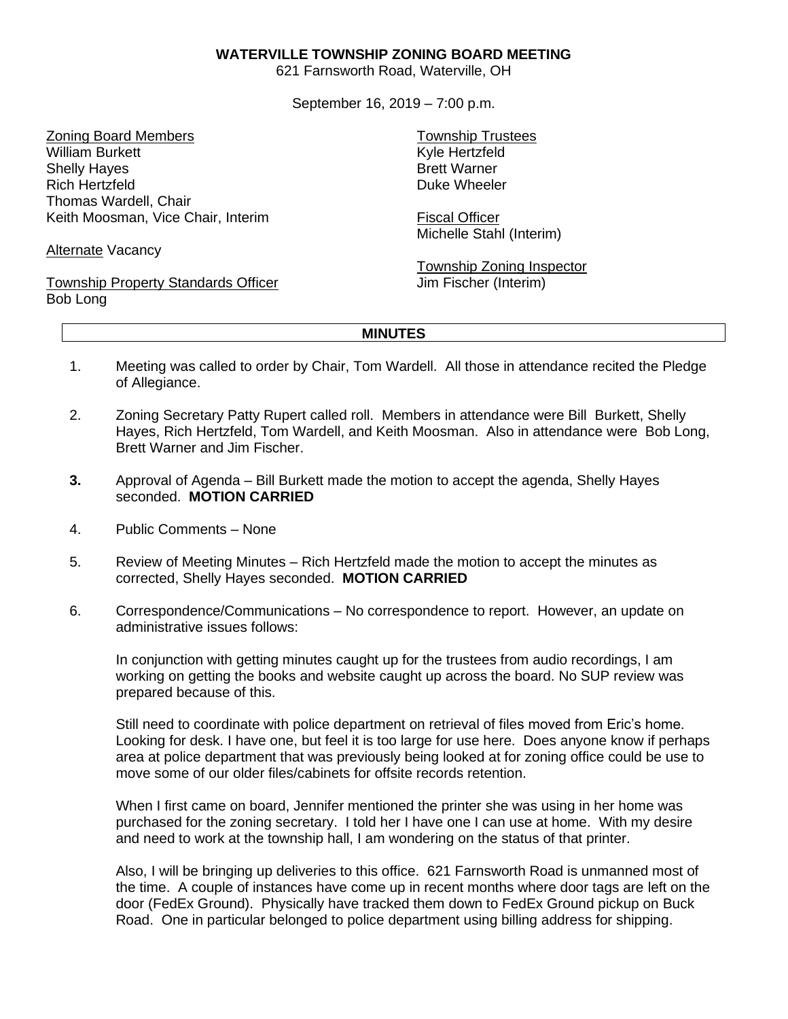## **WATERVILLE TOWNSHIP ZONING BOARD MEETING**

621 Farnsworth Road, Waterville, OH

September 16, 2019 – 7:00 p.m.

Zoning Board Members William Burkett Shelly Hayes Rich Hertzfeld Thomas Wardell, Chair Keith Moosman, Vice Chair, Interim

Alternate Vacancy

Township Property Standards Officer Bob Long

Township Trustees Kyle Hertzfeld Brett Warner Duke Wheeler

Fiscal Officer Michelle Stahl (Interim)

Township Zoning Inspector Jim Fischer (Interim)

## **MINUTES**

- 1. Meeting was called to order by Chair, Tom Wardell. All those in attendance recited the Pledge of Allegiance.
- 2. Zoning Secretary Patty Rupert called roll. Members in attendance were Bill Burkett, Shelly Hayes, Rich Hertzfeld, Tom Wardell, and Keith Moosman. Also in attendance were Bob Long, Brett Warner and Jim Fischer.
- **3.** Approval of Agenda Bill Burkett made the motion to accept the agenda, Shelly Hayes seconded. **MOTION CARRIED**
- 4. Public Comments None
- 5. Review of Meeting Minutes Rich Hertzfeld made the motion to accept the minutes as corrected, Shelly Hayes seconded. **MOTION CARRIED**
- 6. Correspondence/Communications No correspondence to report. However, an update on administrative issues follows:

In conjunction with getting minutes caught up for the trustees from audio recordings, I am working on getting the books and website caught up across the board. No SUP review was prepared because of this.

Still need to coordinate with police department on retrieval of files moved from Eric's home. Looking for desk. I have one, but feel it is too large for use here. Does anyone know if perhaps area at police department that was previously being looked at for zoning office could be use to move some of our older files/cabinets for offsite records retention.

When I first came on board, Jennifer mentioned the printer she was using in her home was purchased for the zoning secretary. I told her I have one I can use at home. With my desire and need to work at the township hall, I am wondering on the status of that printer.

Also, I will be bringing up deliveries to this office. 621 Farnsworth Road is unmanned most of the time. A couple of instances have come up in recent months where door tags are left on the door (FedEx Ground). Physically have tracked them down to FedEx Ground pickup on Buck Road. One in particular belonged to police department using billing address for shipping.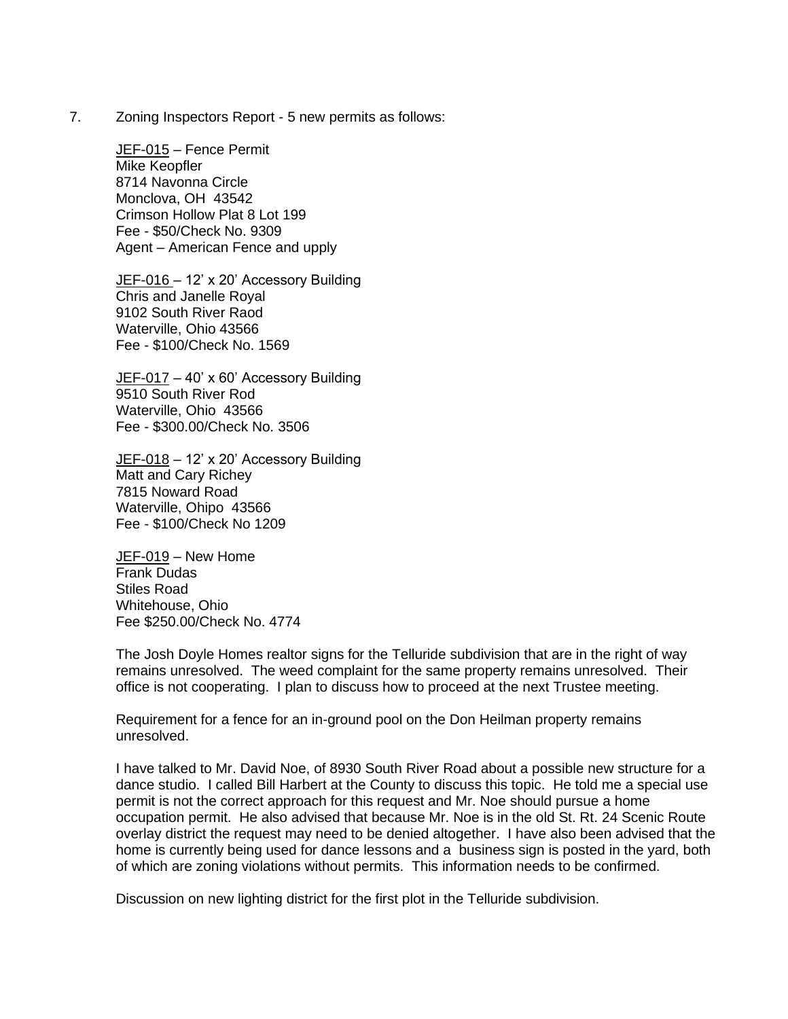7. Zoning Inspectors Report - 5 new permits as follows:

JEF-015 – Fence Permit Mike Keopfler 8714 Navonna Circle Monclova, OH 43542 Crimson Hollow Plat 8 Lot 199 Fee - \$50/Check No. 9309 Agent – American Fence and upply

JEF-016 - 12' x 20' Accessory Building Chris and Janelle Royal 9102 South River Raod Waterville, Ohio 43566 Fee - \$100/Check No. 1569

JEF-017 – 40' x 60' Accessory Building 9510 South River Rod Waterville, Ohio 43566 Fee - \$300.00/Check No. 3506

JEF-018 - 12' x 20' Accessory Building Matt and Cary Richey 7815 Noward Road Waterville, Ohipo 43566 Fee - \$100/Check No 1209

JEF-019 – New Home Frank Dudas Stiles Road Whitehouse, Ohio Fee \$250.00/Check No. 4774

The Josh Doyle Homes realtor signs for the Telluride subdivision that are in the right of way remains unresolved. The weed complaint for the same property remains unresolved. Their office is not cooperating. I plan to discuss how to proceed at the next Trustee meeting.

Requirement for a fence for an in-ground pool on the Don Heilman property remains unresolved.

I have talked to Mr. David Noe, of 8930 South River Road about a possible new structure for a dance studio. I called Bill Harbert at the County to discuss this topic. He told me a special use permit is not the correct approach for this request and Mr. Noe should pursue a home occupation permit. He also advised that because Mr. Noe is in the old St. Rt. 24 Scenic Route overlay district the request may need to be denied altogether. I have also been advised that the home is currently being used for dance lessons and a business sign is posted in the yard, both of which are zoning violations without permits. This information needs to be confirmed.

Discussion on new lighting district for the first plot in the Telluride subdivision.